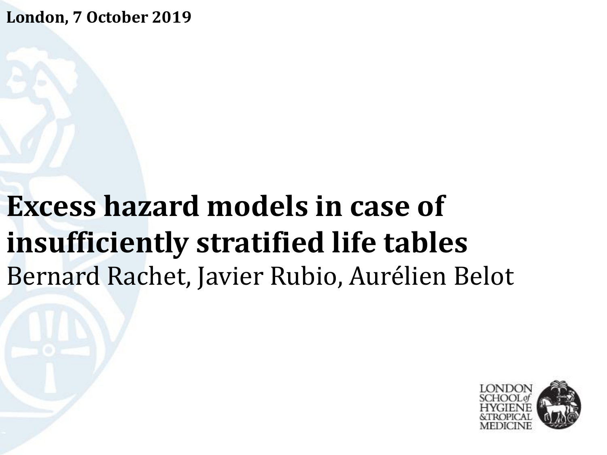**London, 7 October 2019**

# **Excess hazard models in case of insufficiently stratified life tables** Bernard Rachet, Javier Rubio, Aurélien Belot

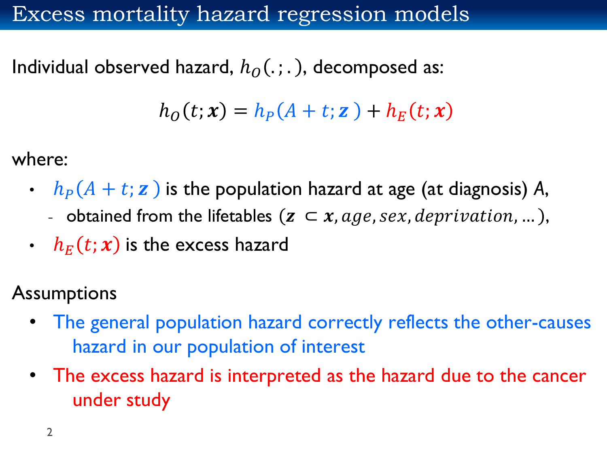#### Excess mortality hazard regression models

Individual observed hazard,  $h_0$ (.;.), decomposed as:

$$
h_O(t; \mathbf{x}) = h_P(A + t; \mathbf{z}) + h_E(t; \mathbf{x})
$$

where:

- $h_P(A + t; z)$  is the population hazard at age (at diagnosis) A,
	- obtained from the lifetables  $(z \subset x, age, sex, depiration, ...)$ ,
- $h_E(t; \mathbf{x})$  is the excess hazard
- **Assumptions** 
	- The general population hazard correctly reflects the other-causes hazard in our population of interest
	- The excess hazard is interpreted as the hazard due to the cancer under study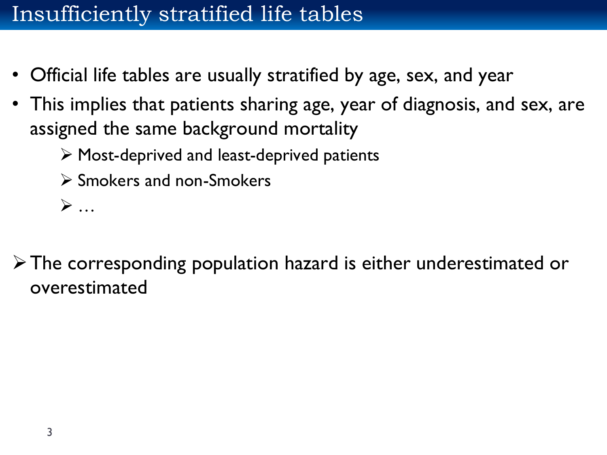#### Insufficiently stratified life tables

- Official life tables are usually stratified by age, sex, and year
- This implies that patients sharing age, year of diagnosis, and sex, are assigned the same background mortality
	- ➢ Most-deprived and least-deprived patients
	- ➢ Smokers and non-Smokers
	- ➢ …

➢The corresponding population hazard is either underestimated or overestimated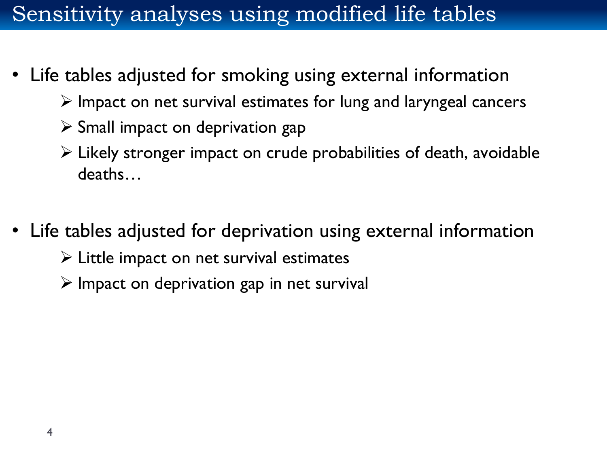#### Sensitivity analyses using modified life tables

- Life tables adjusted for smoking using external information
	- ➢ Impact on net survival estimates for lung and laryngeal cancers
	- $\triangleright$  Small impact on deprivation gap
	- ➢ Likely stronger impact on crude probabilities of death, avoidable deaths…
- Life tables adjusted for deprivation using external information
	- $\triangleright$  Little impact on net survival estimates
	- $\triangleright$  Impact on deprivation gap in net survival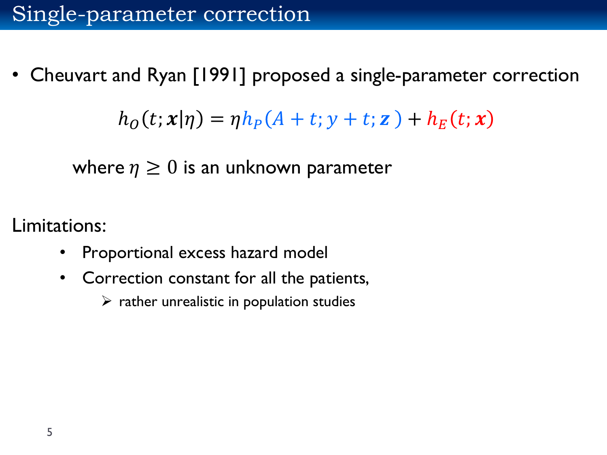• Cheuvart and Ryan [1991] proposed a single-parameter correction

 $h_0(t; x | \eta) = \eta h_P(A + t; y + t; z) + h_F(t; x)$ 

where  $\eta \geq 0$  is an unknown parameter

Limitations:

- Proportional excess hazard model
- Correction constant for all the patients,
	- $\triangleright$  rather unrealistic in population studies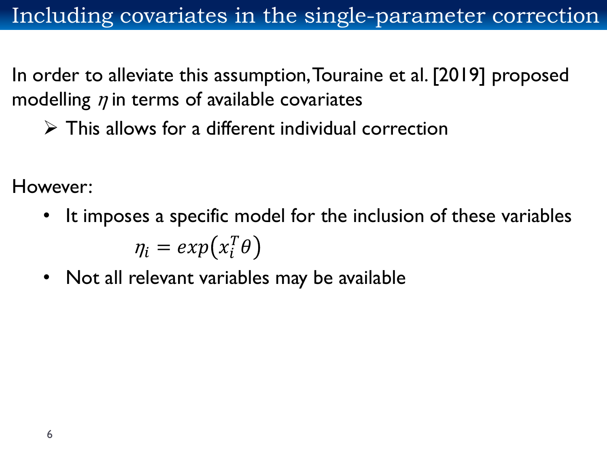In order to alleviate this assumption, Touraine et al. [2019] proposed modelling  $\eta$  in terms of available covariates

 $\triangleright$  This allows for a different individual correction

However:

- It imposes a specific model for the inclusion of these variables  $\eta_i = exp(x_i^T \theta)$
- Not all relevant variables may be available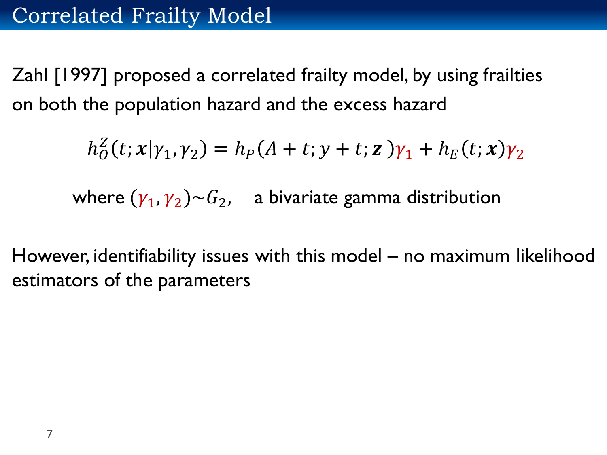Zahl [1997] proposed a correlated frailty model, by using frailties on both the population hazard and the excess hazard

$$
h_O^Z(t; \mathbf{x} | \gamma_1, \gamma_2) = h_P(A + t; y + t; \mathbf{z})\gamma_1 + h_E(t; \mathbf{x})\gamma_2
$$

where  $(\gamma_1, \gamma_2) {\sim} G_2$ , a bivariate gamma distribution

However, identifiability issues with this model – no maximum likelihood estimators of the parameters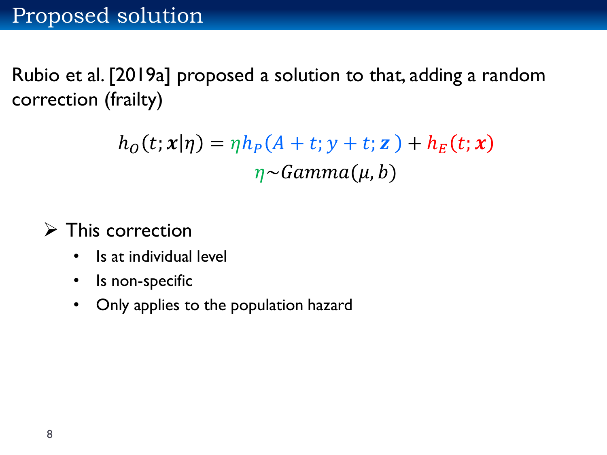Rubio et al. [2019a] proposed a solution to that, adding a random correction (frailty)

> $h_0(t; x | \eta) = \eta h_P(A + t; y + t; z) + h_F(t; x)$  $\eta \sim \text{Gamma}(\mu, b)$

➢ This correction

- Is at individual level
- Is non-specific
- Only applies to the population hazard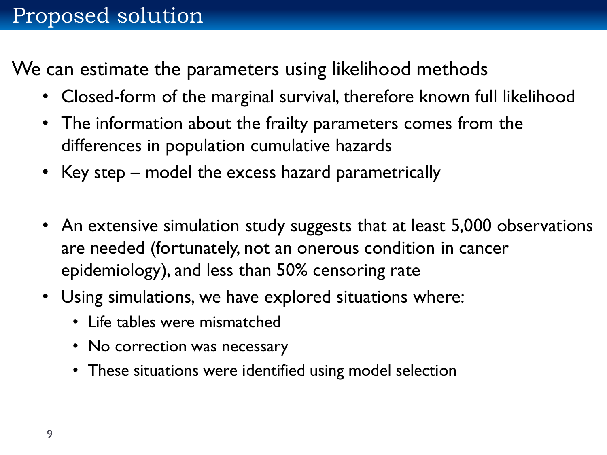We can estimate the parameters using likelihood methods

- Closed-form of the marginal survival, therefore known full likelihood
- The information about the frailty parameters comes from the differences in population cumulative hazards
- Key step model the excess hazard parametrically
- An extensive simulation study suggests that at least 5,000 observations are needed (fortunately, not an onerous condition in cancer epidemiology), and less than 50% censoring rate
- Using simulations, we have explored situations where:
	- Life tables were mismatched
	- No correction was necessary
	- These situations were identified using model selection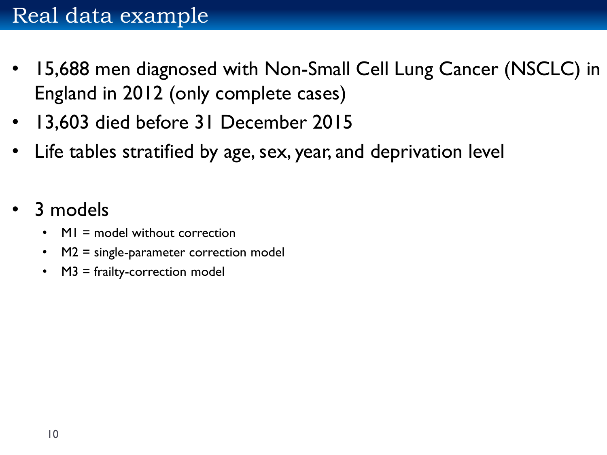- 15,688 men diagnosed with Non-Small Cell Lung Cancer (NSCLC) in England in 2012 (only complete cases)
- 13,603 died before 31 December 2015
- Life tables stratified by age, sex, year, and deprivation level
- 3 models
	- MI = model without correction
	- M2 = single-parameter correction model
	- M3 = frailty-correction model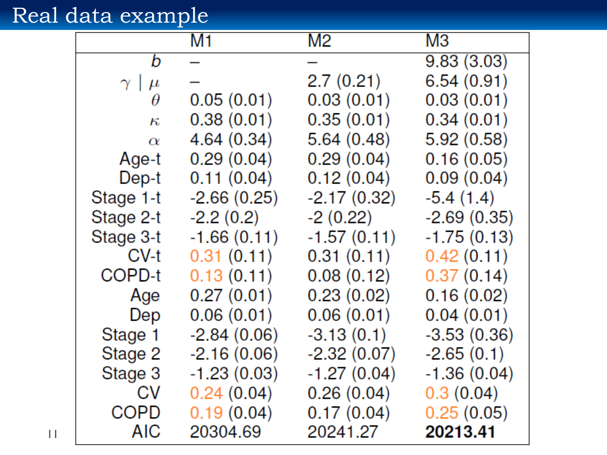## Real data example

|                   | M1            | M2            | MЗ            |
|-------------------|---------------|---------------|---------------|
| b                 |               |               | 9.83(3.03)    |
| $\gamma \mid \mu$ |               | 2.7 (0.21)    | 6.54(0.91)    |
| $\theta$          | 0.05(0.01)    | 0.03(0.01)    | 0.03(0.01)    |
| $\kappa$          | 0.38(0.01)    | 0.35(0.01)    | 0.34(0.01)    |
| $\alpha$          | 4.64(0.34)    | 5.64(0.48)    | 5.92(0.58)    |
| Age-t             | 0.29(0.04)    | 0.29(0.04)    | 0.16(0.05)    |
| Dep-t             | 0.11(0.04)    | 0.12(0.04)    | 0.09(0.04)    |
| Stage 1-t         | $-2.66(0.25)$ | $-2.17(0.32)$ | $-5.4(1.4)$   |
| Stage 2-t         | $-2.2(0.2)$   | $-2(0.22)$    | $-2.69(0.35)$ |
| Stage 3-t         | $-1.66(0.11)$ | $-1.57(0.11)$ | $-1.75(0.13)$ |
| CV-t              | 0.31(0.11)    | 0.31(0.11)    | 0.42(0.11)    |
| COPD-t            | 0.13(0.11)    | 0.08(0.12)    | 0.37(0.14)    |
| Age               | 0.27(0.01)    | 0.23(0.02)    | 0.16(0.02)    |
| Dep               | 0.06(0.01)    | 0.06(0.01)    | 0.04(0.01)    |
| Stage 1           | $-2.84(0.06)$ | $-3.13(0.1)$  | $-3.53(0.36)$ |
| Stage 2           | $-2.16(0.06)$ | $-2.32(0.07)$ | $-2.65(0.1)$  |
| Stage 3           | $-1.23(0.03)$ | $-1.27(0.04)$ | $-1.36(0.04)$ |
| <b>CV</b>         | 0.24(0.04)    | 0.26(0.04)    | 0.3(0.04)     |
| COPD              | 0.19(0.04)    | 0.17(0.04)    | 0.25(0.05)    |
| AIC               | 20304.69      | 20241.27      | 20213.41      |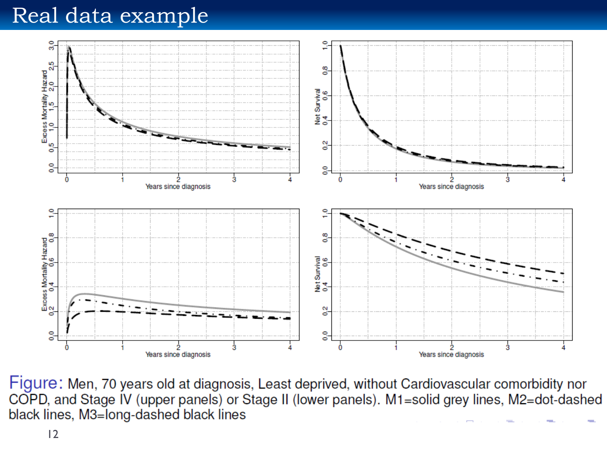#### Real data example



Figure: Men, 70 years old at diagnosis, Least deprived, without Cardiovascular comorbidity nor COPD, and Stage IV (upper panels) or Stage II (lower panels). M1=solid grey lines, M2=dot-dashed black lines, M3=long-dashed black lines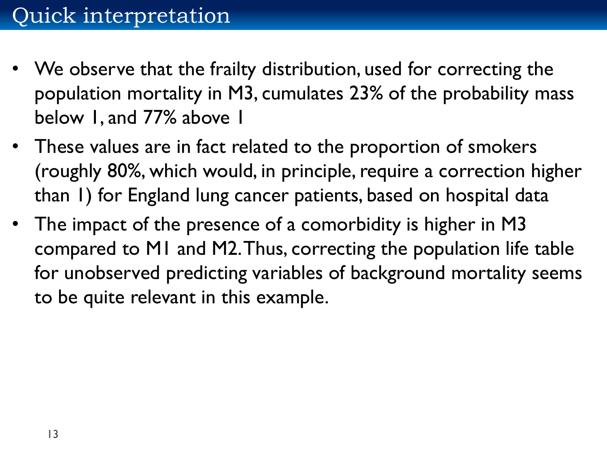- We observe that the frailty distribution, used for correcting the population mortality in M3, cumulates 23% of the probability mass below 1, and 77% above 1
- These values are in fact related to the proportion of smokers (roughly 80%, which would, in principle, require a correction higher than 1) for England lung cancer patients, based on hospital data
- The impact of the presence of a comorbidity is higher in M3 compared to M1 and M2. Thus, correcting the population life table for unobserved predicting variables of background mortality seems to be quite relevant in this example.